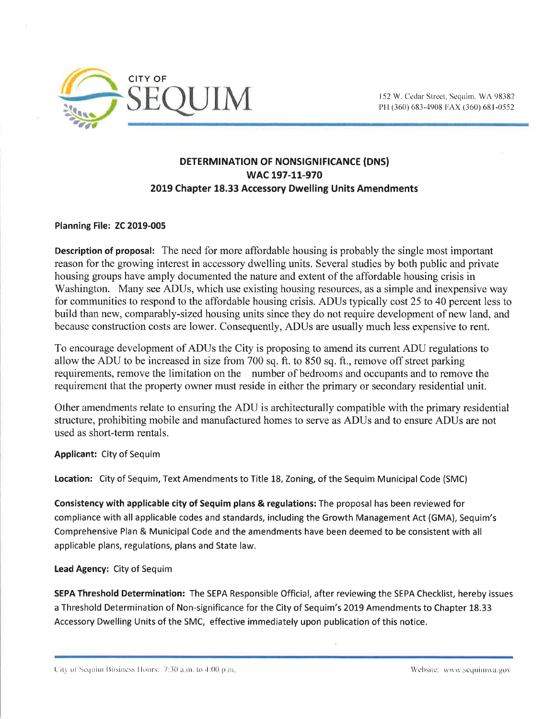

## DETERMINATION OF NONSIGNIFICANCE (DNS) wAc 197-1L-970 2019 Chapter 18.33 Accessory Dwelling Units Amendments

Planning File: ZC 2019-005

Description of proposal: The need for more affordable housing is probably the single most important reason for the growing interest in accessory dwelling units. Several studies by both public and private housing groups have amply documented the nature and extent of the affordable housing crisis in Washington. Many see ADUs, which use existing housing resources, as a simple and inexpensive way for communities to respond to the affordable housing crisis. ADUs typically cost 25 to 40 percent less to build than new, comparably-sized housing units since they do not require development of new land, and because construction costs are lower. Consequently, ADUs are usually much less expensive to rent.

To encourage development of ADUs the City is proposing to amend its current ADU regulations to allow the ADU to be increased in size from 700 sq. ft. to 850 sq. ft., remove off street parking requirements, remove the limitation on the number of bedrooms and occupants and to remove the requirement that the property owner must reside in either the primary or secondary residential unit.

Other amendments relate to ensuring the ADU is architecturally compatible with the primary residential structure, prohibiting mobile and manufactured homes to serve as ADUs and to ensure ADUs are not used as short-term rentals.

Applicant: City of Sequim

Location: City of Sequim, Text Amendments to Title L8, Zoning, of the Sequim Municipal Code (SMC)

Consistency with applicable city of Sequim plans & regulations: The proposal has been reviewed for compliance with all applicable codes and standards, including the Growth Management Act (GMA), Sequim's Comprehensive Plan & Municipal Code and the amendments have been deemed to be consistent with all applicable plans, regulations, plans and State law.

Lead Agency: City of Sequim

SEPA Threshold Determination: The SEPA Responsible Official, after reviewing the SEPA Checklist, hereby issues a Threshold Determination of Non-significance for the City of Sequim's 2019 Amendments to Chapter 18.33 Accessory Dwelling Units of the SMC, effective immediately upon publication of this notice.

City of Sequim Business Hours: 7:30 a.m. to 4:00 p.m. Company and the Company of Content of Website: www.sequimwa.gov